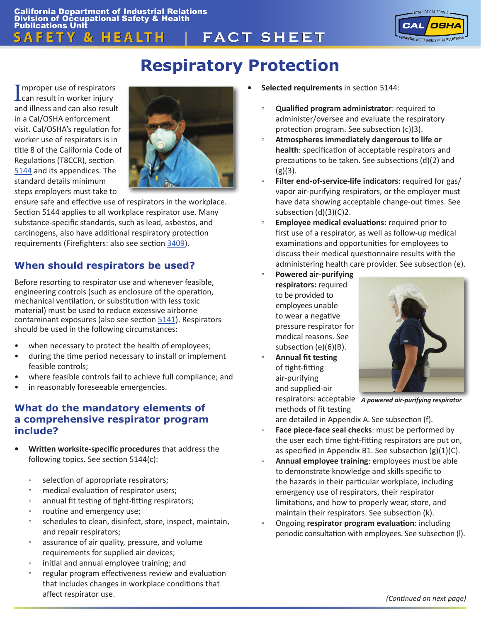

# **Respiratory Protection**

Improper use of respirators<br>
can result in worker injury mproper use of respirators and illness and can also result in a Cal/OSHA enforcement visit. Cal/OSHA's regulation for worker use of respirators is in title 8 of the California Code of Regulations (T8CCR), section [5144](http://www.dir.ca.gov/Title8/5144.html) and its appendices. The standard details minimum steps employers must take to



ensure safe and effective use of respirators in the workplace. Section 5144 applies to all workplace respirator use. Many substance-specific standards, such as lead, asbestos, and carcinogens, also have additional respiratory protection requirements (Firefighters: also see section [3409](http://www.dir.ca.gov/Title8/3409.html)).

# **When should respirators be used?**

Before resorting to respirator use and whenever feasible, engineering controls (such as enclosure of the operation, mechanical ventilation, or substitution with less toxic material) must be used to reduce excessive airborne contaminant exposures (also see section [5141](https://www.dir.ca.gov/Title8/5141.html)). Respirators should be used in the following circumstances:

- when necessary to protect the health of employees;
- during the time period necessary to install or implement feasible controls;
- where feasible controls fail to achieve full compliance; and
- in reasonably foreseeable emergencies.

### **What do the mandatory elements of a comprehensive respirator program include?**

- **Written worksite-specific procedures** that address the following topics. See section 5144(c):
	- selection of appropriate respirators;
	- medical evaluation of respirator users;
	- annual fit testing of tight-fitting respirators;
	- routine and emergency use;
	- schedules to clean, disinfect, store, inspect, maintain, and repair respirators;
	- assurance of air quality, pressure, and volume requirements for supplied air devices;
	- initial and annual employee training; and
	- regular program effectiveness review and evaluation that includes changes in workplace conditions that affect respirator use.
- **Selected requirements** in section 5144:
	- **Qualified program administrator**: required to administer/oversee and evaluate the respiratory protection program. See subsection (c)(3).
	- **Atmospheres immediately dangerous to life or health**: specification of acceptable respirators and precautions to be taken. See subsections (d)(2) and  $(g)(3)$ .
	- Filter end-of-service-life indicators: required for gas/ vapor air-purifying respirators, or the employer must have data showing acceptable change-out times. See subsection (d)(3)(C)2.
	- **Employee medical evaluations:** required prior to first use of a respirator, as well as follow-up medical examinations and opportunities for employees to discuss their medical questionnaire results with the administering health care provider. See subsection (e).
	- **Powered air-purifying respirators:** required to be provided to employees unable to wear a negative pressure respirator for medical reasons. See subsection (e)(6)(B).
	- **Annual fit testing** of tight-fitting air-purifying and supplied-air



respirators: acceptable *A powered air-purifying respirator* 

methods of fit testing are detailed in Appendix A. See subsection (f).

- Face piece-face seal checks: must be performed by the user each time tight-fitting respirators are put on, as specified in Appendix B1. See subsection (g)(1)(C).
- **Annual employee training**: employees must be able to demonstrate knowledge and skills specific to the hazards in their particular workplace, including emergency use of respirators, their respirator limitations, and how to properly wear, store, and maintain their respirators. See subsection (k).
- Ongoing **respirator program evaluation**: including periodic consultation with employees. See subsection (l).